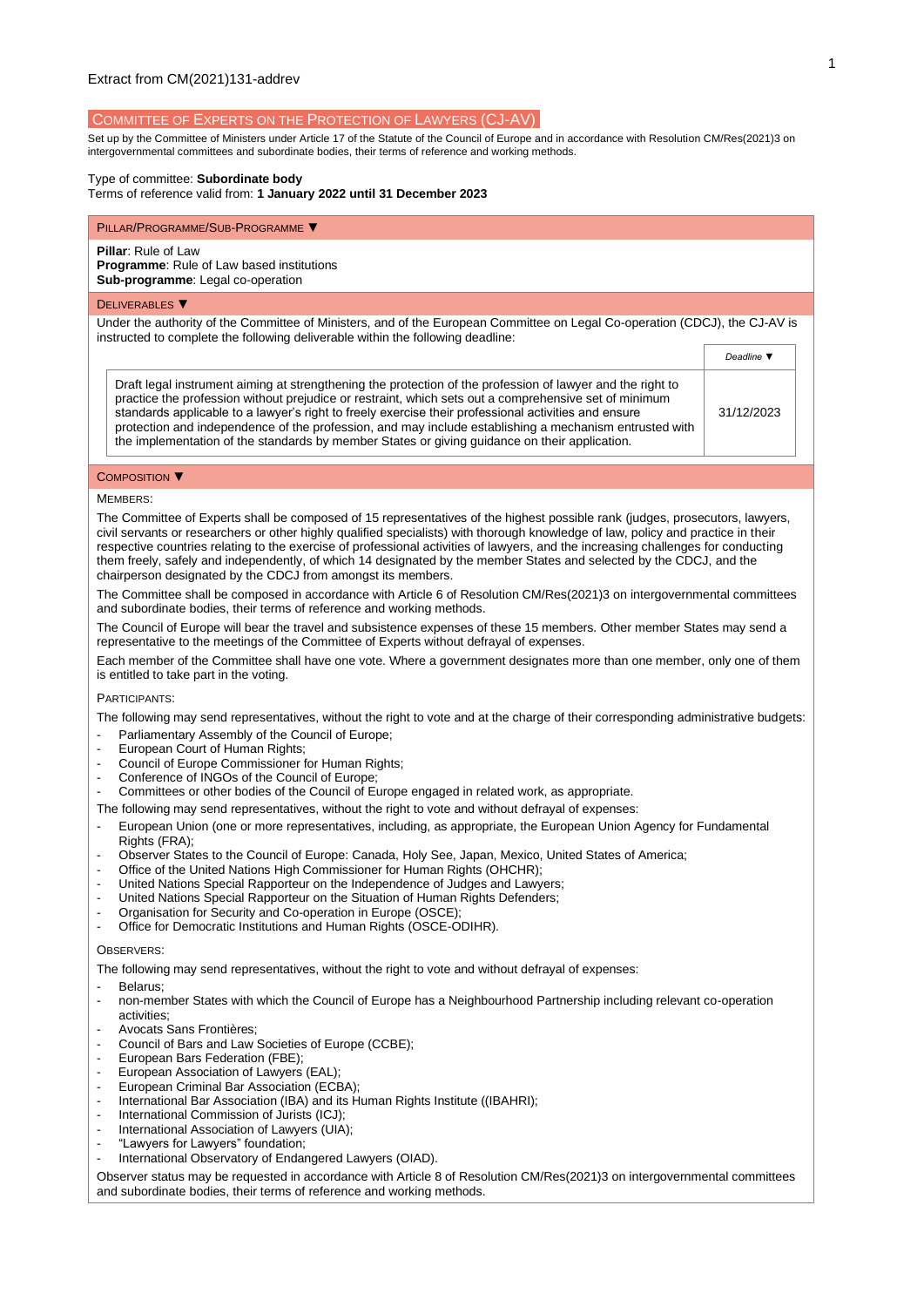### COMMITTEE OF EXPERTS ON THE PROTECTION OF LAWYERS (CJ-AV)

Set up by the Committee of Ministers under Article 17 of the Statute of the Council of Europe and in accordance with Resolutio[n CM/Res\(2021\)3](https://search.coe.int/cm/Pages/result_details.aspx?Reference=CM/Res(2011)24) on intergovernmental committees and subordinate bodies, their terms of reference and working methods.

## Type of committee: **Subordinate body**

Terms of reference valid from: **1 January 2022 until 31 December 2023**

# PILLAR/PROGRAMME/SUB-PROGRAMME ▼

## **Pillar**: Rule of Law

**Programme**: Rule of Law based institutions **Sub-programme**: Legal co-operation

#### DELIVERABLES ▼

Under the authority of the Committee of Ministers, and of the European Committee on Legal Co-operation (CDCJ), the CJ-AV is instructed to complete the following deliverable within the following deadline:

|                                                                                                                                                                                                                                                                                                                                                                                                                                                                                                                                        | Deadline \ |
|----------------------------------------------------------------------------------------------------------------------------------------------------------------------------------------------------------------------------------------------------------------------------------------------------------------------------------------------------------------------------------------------------------------------------------------------------------------------------------------------------------------------------------------|------------|
| Draft legal instrument aiming at strengthening the protection of the profession of lawyer and the right to<br>practice the profession without prejudice or restraint, which sets out a comprehensive set of minimum<br>standards applicable to a lawyer's right to freely exercise their professional activities and ensure<br>protection and independence of the profession, and may include establishing a mechanism entrusted with<br>the implementation of the standards by member States or giving guidance on their application. | 31/12/2023 |

#### COMPOSITION ▼

#### MEMBERS:

The Committee of Experts shall be composed of 15 representatives of the highest possible rank (judges, prosecutors, lawyers, civil servants or researchers or other highly qualified specialists) with thorough knowledge of law, policy and practice in their respective countries relating to the exercise of professional activities of lawyers, and the increasing challenges for conducting them freely, safely and independently, of which 14 designated by the member States and selected by the CDCJ, and the chairperson designated by the CDCJ from amongst its members.

The Committee shall be composed in accordance with Article 6 of Resolution CM/Res(2021)3 on intergovernmental committees and subordinate bodies, their terms of reference and working methods.

The Council of Europe will bear the travel and subsistence expenses of these 15 members. Other member States may send a representative to the meetings of the Committee of Experts without defrayal of expenses.

Each member of the Committee shall have one vote. Where a government designates more than one member, only one of them is entitled to take part in the voting.

#### PARTICIPANTS:

The following may send representatives, without the right to vote and at the charge of their corresponding administrative budgets:

- Parliamentary Assembly of the Council of Europe;
- European Court of Human Rights:
- Council of Europe Commissioner for Human Rights:
- Conference of INGOs of the Council of Europe;
- Committees or other bodies of the Council of Europe engaged in related work, as appropriate.
- The following may send representatives, without the right to vote and without defrayal of expenses:
- European Union (one or more representatives, including, as appropriate, the European Union Agency for Fundamental Rights (FRA);
- Observer States to the Council of Europe: Canada, Holy See, Japan, Mexico, United States of America;
- Office of the United Nations High Commissioner for Human Rights (OHCHR);
- United Nations Special Rapporteur on the Independence of Judges and Lawyers;
- United Nations Special Rapporteur on the Situation of Human Rights Defenders;
- Organisation for Security and Co-operation in Europe (OSCE);
- Office for Democratic Institutions and Human Rights (OSCE-ODIHR).

### **OBSERVERS**

The following may send representatives, without the right to vote and without defrayal of expenses:

- Belarus;
- non-member States with which the Council of Europe has a Neighbourhood Partnership including relevant co-operation activities;
- Avocats Sans Frontières;
- Council of Bars and Law Societies of Europe (CCBE);
- European Bars Federation (FBE);
- European Association of Lawyers (EAL)
- European Criminal Bar Association (ECBA);
- International Bar Association (IBA) and its Human Rights Institute ((IBAHRI);
- International Commission of Jurists (ICJ);
- International Association of Lawyers (UIA):
- "Lawyers for Lawyers" foundation;
- International Observatory of Endangered Lawyers (OIAD).

Observer status may be requested in accordance with Article 8 of Resolution CM/Res(2021)3 on intergovernmental committees and subordinate bodies, their terms of reference and working methods.